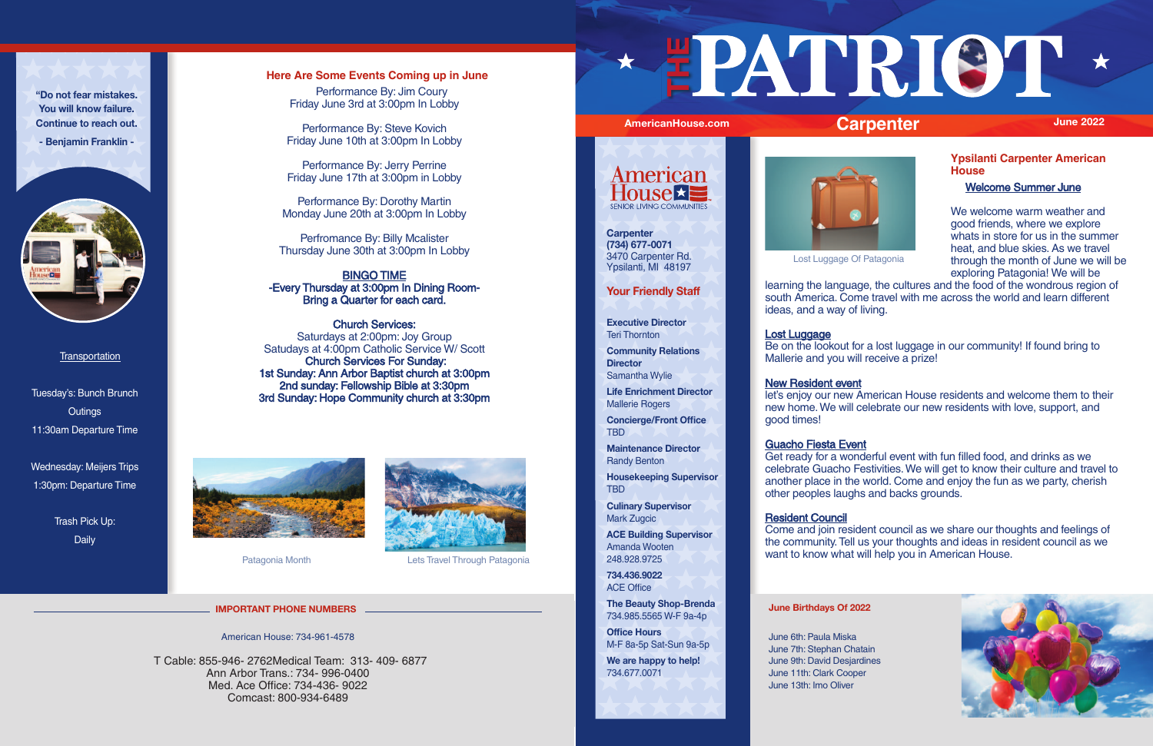### **Here Are Some Events Coming up in June**

 Performance By: Jim Coury Friday June 3rd at 3:00pm In Lobby

Performance By: Steve Kovich Friday June 10th at 3:00pm In Lobby

Performance By: Jerry Perrine Friday June 17th at 3:00pm in Lobby

Performance By: Dorothy Martin Monday June 20th at 3:00pm In Lobby

Perfromance By: Billy Mcalister Thursday June 30th at 3:00pm In Lobby

### BINGO TIME -Every Thursday at 3:00pm In Dining Room-Bring a Quarter for each card.

Church Services: Saturdays at 2:00pm: Joy Group Satudays at 4:00pm Catholic Service W/ Scott Church Services For Sunday: 1st Sunday: Ann Arbor Baptist church at 3:00pm 2nd sunday: Fellowship Bible at 3:30pm 3rd Sunday: Hope Community church at 3:30pm





Patagonia Month Lets Travel Through Patagonia

**Ypsilanti Carpenter American House** 

Welcome Summer June

We welcome warm weather and good friends, where we explore whats in store for us in the summer heat, and blue skies. As we travel through the month of June we will be exploring Patagonia! We will be

Lost Luggage Of Patagonia

learning the language, the cultures and the food of the wondrous region of south America. Come travel with me across the world and learn different ideas, and a way of living.

### Lost Luggage

# **New Resident event**

Be on the lookout for a lost luggage in our community! If found bring to Mallerie and you will receive a prize!

let's enjoy our new American House residents and welcome them to their new home. We will celebrate our new residents with love, support, and



good times!

## Guacho Fiesta Event

**Carpenter (734) 677-0071** 3470 Carpenter Rd.<br>Ypsilanti, MI 48197

> Get ready for a wonderful event with fun filled food, and drinks as we celebrate Guacho Festivities. We will get to know their culture and travel to another place in the world. Come and enjoy the fun as we party, cherish other peoples laughs and backs grounds.

### Resident Council

Come and join resident council as we share our thoughts and feelings of the community. Tell us your thoughts and ideas in resident council as we want to know what will help you in American House.

Tuesday's: Bunch Brunch **Outings** 11:30am Departure Time

Wednesday: Meijers Trips 1:30pm: Departure Time

> Trash Pick Up: Daily

**"Do not fear mistakes. You will know failure. Continue to reach out.**

**- Benjamin Franklin -** 



**Transportation** 

### **June Birthdays Of 2022**

June 6th: Paula Miska June 7th: Stephan Chatain June 9th: David Desjardines June 11th: Clark Cooper June 13th: Imo Oliver



# AmericanHouse.com **Carpenter** and the set of the 2022

### **Your Friendly Staff**

**Executive Director** Teri Thornton

**Community Relations Director** Samantha Wylie

**Life Enrichment Director** Mallerie Rogers

**Concierge/Front Office** TBD

**Maintenance Director** Randy Benton

**Housekeeping Supervisor** TBD

**Culinary Supervisor** Mark Zugcic

**ACE Building Supervisor** Amanda Wooten 248.928.9725

**734.436.9022** ACE Office

**The Beauty Shop-Brenda** 734.985.5565 W-F 9a-4p

**Office Hours** M-F 8a-5p Sat-Sun 9a-5p

**We are happy to help!** 734.677.0071



American House: 734-961-4578

 T Cable: 855-946- 2762Medical Team: 313- 409- 6877 Ann Arbor Trans.: 734- 996-0400 Med. Ace Office: 734-436- 9022 Comcast: 800-934-6489



**THE** 





**IMPORTANT PHONE NUMBERS**